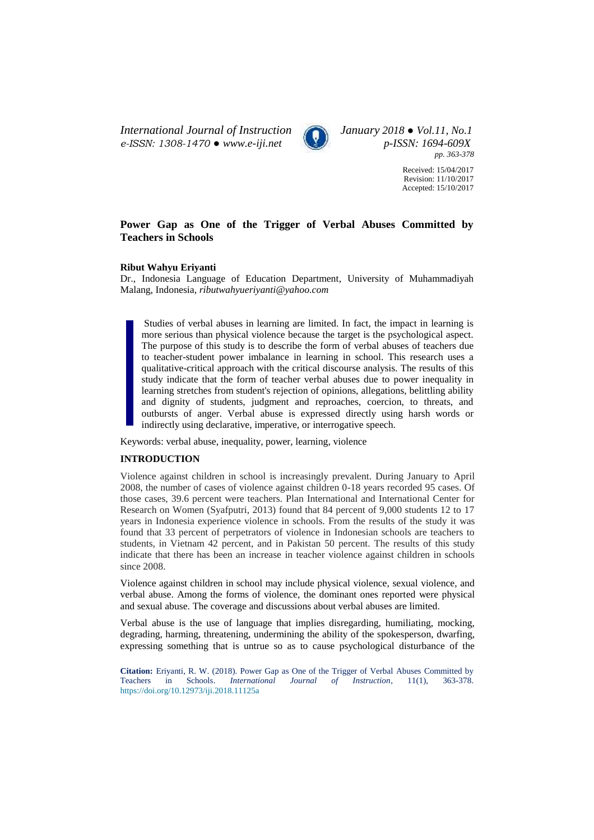*International Journal of Instruction January 2018 ● Vol.11, No.1 e-ISSN: 1308-1470 ● [www.e-iji.net](http://www.e-iji.net/) p-ISSN: 1694-609X*



*pp. 363-378*

Received: 15/04/2017 Revision: 11/10/2017 Accepted: 15/10/2017

## **Power Gap as One of the Trigger of Verbal Abuses Committed by Teachers in Schools**

## **Ribut Wahyu Eriyanti**

Dr., Indonesia Language of Education Department, University of Muhammadiyah Malang, Indonesia, *ributwahyueriyanti@yahoo.com*

Studies of verbal abuses in learning are limited. In fact, the impact in learning is more serious than physical violence because the target is the psychological aspect. The purpose of this study is to describe the form of verbal abuses of teachers due to teacher-student power imbalance in learning in school. This research uses a qualitative-critical approach with the critical discourse analysis. The results of this study indicate that the form of teacher verbal abuses due to power inequality in learning stretches from student's rejection of opinions, allegations, belittling ability and dignity of students, judgment and reproaches, coercion, to threats, and outbursts of anger. Verbal abuse is expressed directly using harsh words or indirectly using declarative, imperative, or interrogative speech.

Keywords: verbal abuse, inequality, power, learning, violence

## **INTRODUCTION**

Violence against children in school is increasingly prevalent. During January to April 2008, the number of cases of violence against children 0-18 years recorded 95 cases. Of those cases, 39.6 percent were teachers. Plan International and International Center for Research on Women (Syafputri, 2013) found that 84 percent of 9,000 students 12 to 17 years in Indonesia experience violence in schools. From the results of the study it was found that 33 percent of perpetrators of violence in Indonesian schools are teachers to students, in Vietnam 42 percent, and in Pakistan 50 percent. The results of this study indicate that there has been an increase in teacher violence against children in schools since 2008.

Violence against children in school may include physical violence, sexual violence, and verbal abuse. Among the forms of violence, the dominant ones reported were physical and sexual abuse. The coverage and discussions about verbal abuses are limited.

Verbal abuse is the use of language that implies disregarding, humiliating, mocking, degrading, harming, threatening, undermining the ability of the spokesperson, dwarfing, expressing something that is untrue so as to cause psychological disturbance of the

**Citation:** Eriyanti, R. W. (2018). Power Gap as One of the Trigger of Verbal Abuses Committed by Teachers in Schools. *International Journal of Instruction*, 11(1), 363-378. <https://doi.org/10.12973/iji.2018.11125a>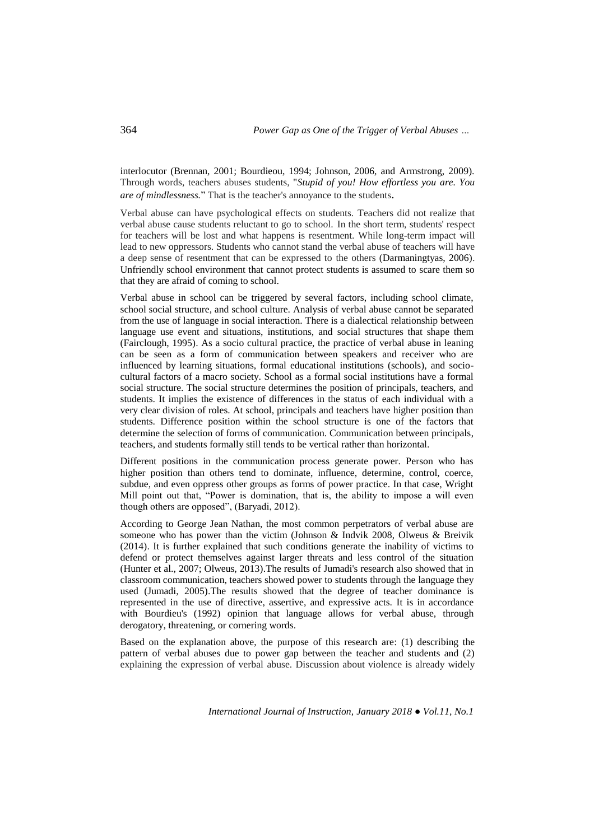interlocutor (Brennan, 2001; Bourdieou, 1994; Johnson, 2006, and Armstrong, 2009). Through words, teachers abuses students, "*Stupid of you! How effortless you are. You are of mindlessness.*" That is the teacher's annoyance to the students.

Verbal abuse can have psychological effects on students. Teachers did not realize that verbal abuse cause students reluctant to go to school. In the short term, students' respect for teachers will be lost and what happens is resentment. While long-term impact will lead to new oppressors. Students who cannot stand the verbal abuse of teachers will have a deep sense of resentment that can be expressed to the others (Darmaningtyas, 2006). Unfriendly school environment that cannot protect students is assumed to scare them so that they are afraid of coming to school.

Verbal abuse in school can be triggered by several factors, including school climate, school social structure, and school culture. Analysis of verbal abuse cannot be separated from the use of language in social interaction. There is a dialectical relationship between language use event and situations, institutions, and social structures that shape them (Fairclough, 1995). As a socio cultural practice, the practice of verbal abuse in leaning can be seen as a form of communication between speakers and receiver who are influenced by learning situations, formal educational institutions (schools), and sociocultural factors of a macro society. School as a formal social institutions have a formal social structure. The social structure determines the position of principals, teachers, and students. It implies the existence of differences in the status of each individual with a very clear division of roles. At school, principals and teachers have higher position than students. Difference position within the school structure is one of the factors that determine the selection of forms of communication. Communication between principals, teachers, and students formally still tends to be vertical rather than horizontal.

Different positions in the communication process generate power. Person who has higher position than others tend to dominate, influence, determine, control, coerce, subdue, and even oppress other groups as forms of power practice. In that case, Wright Mill point out that, "Power is domination, that is, the ability to impose a will even though others are opposed", (Baryadi, 2012).

According to George Jean Nathan, the most common perpetrators of verbal abuse are someone who has power than the victim (Johnson & Indvik 2008, Olweus & Breivik (2014). It is further explained that such conditions generate the inability of victims to defend or protect themselves against larger threats and less control of the situation (Hunter et al., 2007; Olweus, 2013).The results of Jumadi's research also showed that in classroom communication, teachers showed power to students through the language they used (Jumadi, 2005).The results showed that the degree of teacher dominance is represented in the use of directive, assertive, and expressive acts. It is in accordance with Bourdieu's (1992) opinion that language allows for verbal abuse, through derogatory, threatening, or cornering words.

Based on the explanation above, the purpose of this research are: (1) describing the pattern of verbal abuses due to power gap between the teacher and students and (2) explaining the expression of verbal abuse. Discussion about violence is already widely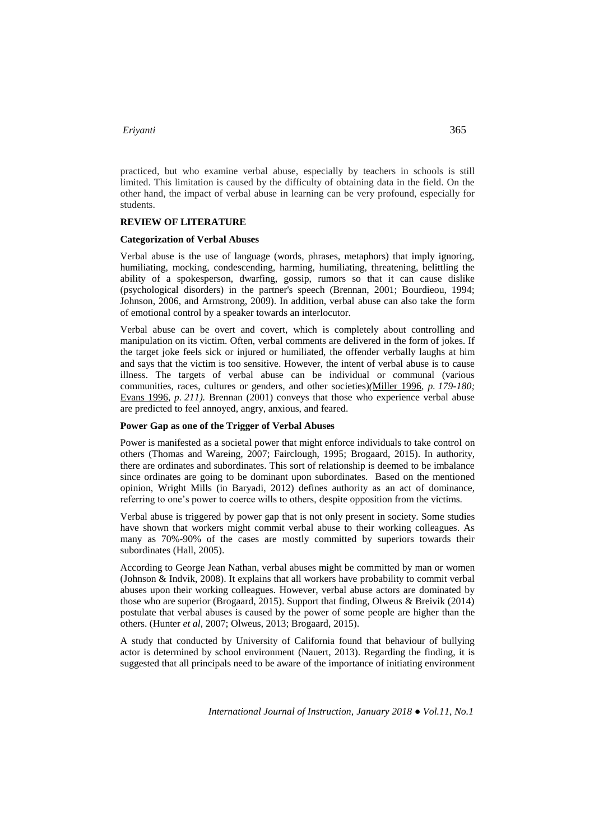practiced, but who examine verbal abuse, especially by teachers in schools is still limited. This limitation is caused by the difficulty of obtaining data in the field. On the other hand, the impact of verbal abuse in learning can be very profound, especially for students.

## **REVIEW OF LITERATURE**

#### **Categorization of Verbal Abuses**

Verbal abuse is the use of language (words, phrases, metaphors) that imply ignoring, humiliating, mocking, condescending, harming, humiliating, threatening, belittling the ability of a spokesperson, dwarfing, gossip, rumors so that it can cause dislike (psychological disorders) in the partner's speech (Brennan, 2001; Bourdieou, 1994; Johnson, 2006, and Armstrong, 2009). In addition, verbal abuse can also take the form of emotional control by a speaker towards an interlocutor.

Verbal abuse can be overt and covert, which is completely about controlling and manipulation on its victim. Often, verbal comments are delivered in the form of jokes. If the target joke feels sick or injured or humiliated, the offender verbally laughs at him and says that the victim is too sensitive. However, the intent of verbal abuse is to cause illness. The targets of verbal abuse can be individual or communal (various communities, races, cultures or genders, and other societies)*(*[Miller 1996](http://en.wikipedia.org/wiki/Verbal_abuse#CITEREF_Miller_1996#CITEREF_Miller_1996)*, p. 179-180;*  [Evans 1996](http://en.wikipedia.org/wiki/Verbal_abuse#CITEREF_Evans_1996#CITEREF_Evans_1996)*, p. 211).* Brennan (2001) conveys that those who experience verbal abuse are predicted to feel annoyed, angry, anxious, and feared.

#### **Power Gap as one of the Trigger of Verbal Abuses**

Power is manifested as a societal power that might enforce individuals to take control on others (Thomas and Wareing, 2007; Fairclough, 1995; Brogaard, 2015). In authority, there are ordinates and subordinates. This sort of relationship is deemed to be imbalance since ordinates are going to be dominant upon subordinates. Based on the mentioned opinion, Wright Mills (in Baryadi, 2012) defines authority as an act of dominance, referring to one's power to coerce wills to others, despite opposition from the victims.

Verbal abuse is triggered by power gap that is not only present in society. Some studies have shown that workers might commit verbal abuse to their working colleagues. As many as 70%-90% of the cases are mostly committed by superiors towards their subordinates (Hall, 2005).

According to George Jean Nathan, verbal abuses might be committed by man or women [\(Johnson](http://findarticles.com/p/search?tb=art&qa=Pamela+R.+Johnson) & [Indvik,](http://findarticles.com/p/search?tb=art&qa=Julie+Indvik) 2008). It explains that all workers have probability to commit verbal abuses upon their working colleagues. However, verbal abuse actors are dominated by those who are superior (Brogaard, 2015). Support that finding, Olweus & Breivik (2014) postulate that verbal abuses is caused by the power of some people are higher than the others. (Hunter *et al*, 2007; Olweus, 2013; Brogaard, 2015).

A study that conducted by University of California found that behaviour of bullying actor is determined by school environment (Nauert, 2013). Regarding the finding, it is suggested that all principals need to be aware of the importance of initiating environment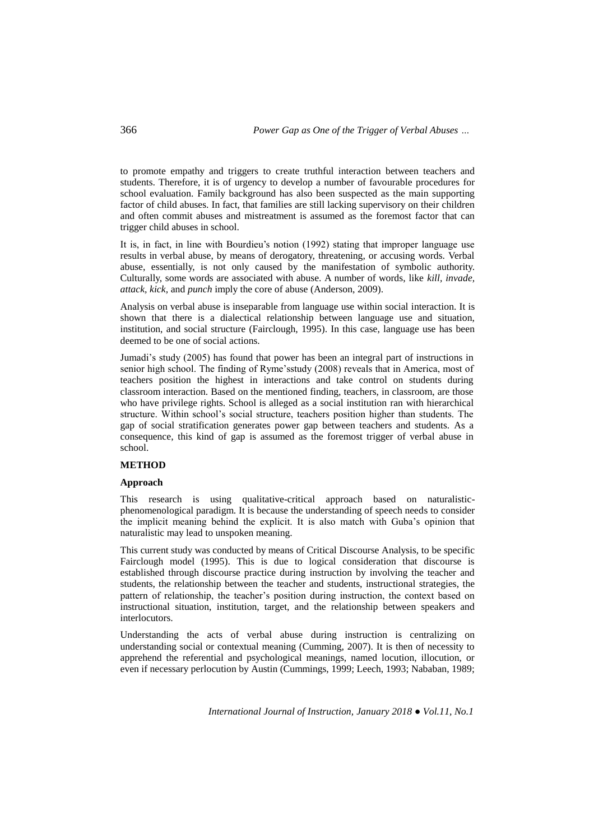to promote empathy and triggers to create truthful interaction between teachers and students. Therefore, it is of urgency to develop a number of favourable procedures for school evaluation. Family background has also been suspected as the main supporting factor of child abuses. In fact, that families are still lacking supervisory on their children and often commit abuses and mistreatment is assumed as the foremost factor that can trigger child abuses in school.

It is, in fact, in line with Bourdieu's notion (1992) stating that improper language use results in verbal abuse, by means of derogatory, threatening, or accusing words. Verbal abuse, essentially, is not only caused by the manifestation of symbolic authority. Culturally, some words are associated with abuse. A number of words, like *kill, invade, attack, kick,* and *punch* imply the core of abuse (Anderson, 2009).

Analysis on verbal abuse is inseparable from language use within social interaction. It is shown that there is a dialectical relationship between language use and situation, institution, and social structure (Fairclough, 1995). In this case, language use has been deemed to be one of social actions.

Jumadi's study (2005) has found that power has been an integral part of instructions in senior high school. The finding of Ryme'sstudy (2008) reveals that in America, most of teachers position the highest in interactions and take control on students during classroom interaction. Based on the mentioned finding, teachers, in classroom, are those who have privilege rights. School is alleged as a social institution ran with hierarchical structure. Within school's social structure, teachers position higher than students. The gap of social stratification generates power gap between teachers and students. As a consequence, this kind of gap is assumed as the foremost trigger of verbal abuse in school.

# **METHOD**

## **Approach**

This research is using qualitative-critical approach based on naturalisticphenomenological paradigm. It is because the understanding of speech needs to consider the implicit meaning behind the explicit. It is also match with Guba's opinion that naturalistic may lead to unspoken meaning.

This current study was conducted by means of Critical Discourse Analysis, to be specific Fairclough model (1995). This is due to logical consideration that discourse is established through discourse practice during instruction by involving the teacher and students, the relationship between the teacher and students, instructional strategies, the pattern of relationship, the teacher's position during instruction, the context based on instructional situation, institution, target, and the relationship between speakers and interlocutors.

Understanding the acts of verbal abuse during instruction is centralizing on understanding social or contextual meaning (Cumming, 2007). It is then of necessity to apprehend the referential and psychological meanings, named locution, illocution, or even if necessary perlocution by Austin (Cummings, 1999; Leech, 1993; Nababan, 1989;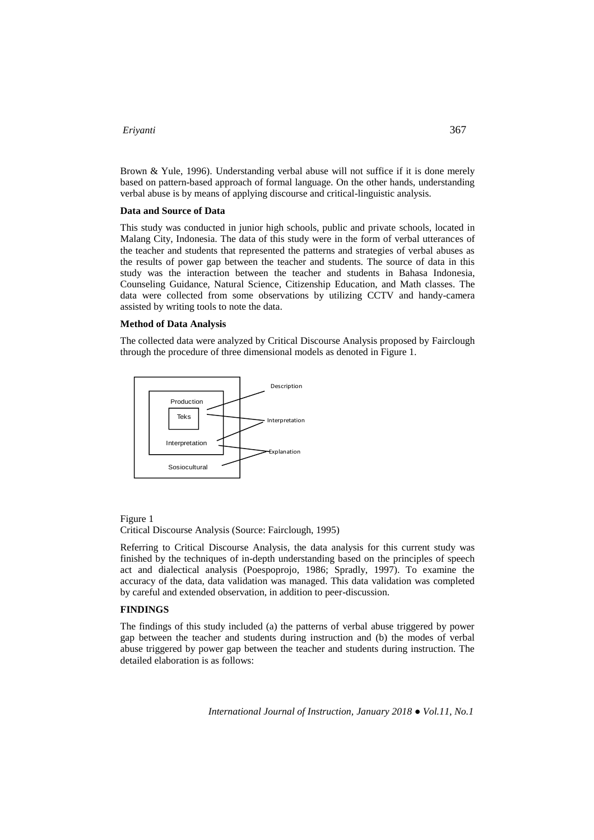Brown & Yule, 1996). Understanding verbal abuse will not suffice if it is done merely based on pattern-based approach of formal language. On the other hands, understanding verbal abuse is by means of applying discourse and critical-linguistic analysis.

#### **Data and Source of Data**

This study was conducted in junior high schools, public and private schools, located in Malang City, Indonesia. The data of this study were in the form of verbal utterances of the teacher and students that represented the patterns and strategies of verbal abuses as the results of power gap between the teacher and students. The source of data in this study was the interaction between the teacher and students in Bahasa Indonesia, Counseling Guidance, Natural Science, Citizenship Education, and Math classes. The data were collected from some observations by utilizing CCTV and handy-camera assisted by writing tools to note the data.

#### **Method of Data Analysis**

The collected data were analyzed by Critical Discourse Analysis proposed by Fairclough through the procedure of three dimensional models as denoted in Figure 1.



Figure 1 Critical Discourse Analysis (Source: Fairclough, 1995)

Referring to Critical Discourse Analysis, the data analysis for this current study was finished by the techniques of in-depth understanding based on the principles of speech act and dialectical analysis (Poespoprojo, 1986; Spradly, 1997). To examine the accuracy of the data, data validation was managed. This data validation was completed by careful and extended observation, in addition to peer-discussion.

#### **FINDINGS**

The findings of this study included (a) the patterns of verbal abuse triggered by power gap between the teacher and students during instruction and (b) the modes of verbal abuse triggered by power gap between the teacher and students during instruction. The detailed elaboration is as follows: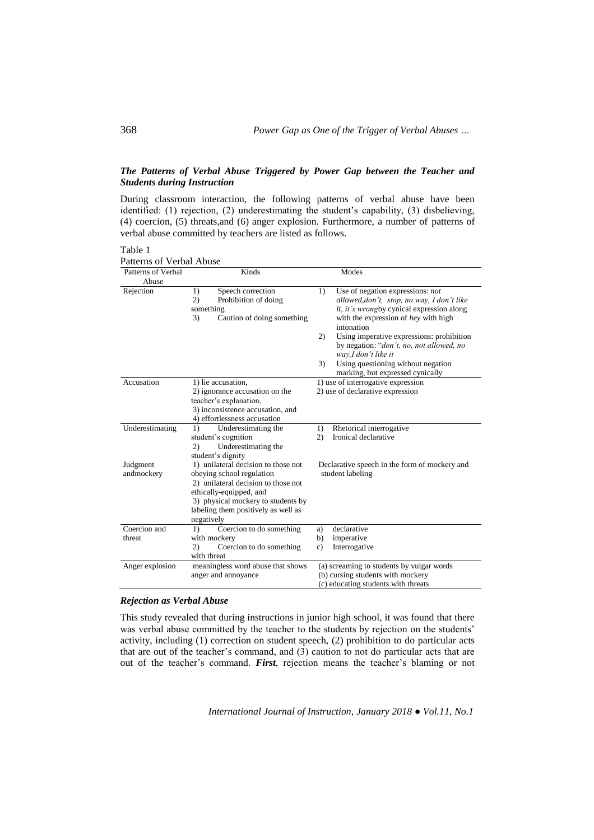## *The Patterns of Verbal Abuse Triggered by Power Gap between the Teacher and Students during Instruction*

During classroom interaction, the following patterns of verbal abuse have been identified: (1) rejection, (2) underestimating the student's capability, (3) disbelieving, (4) coercion, (5) threats,and (6) anger explosion. Furthermore, a number of patterns of verbal abuse committed by teachers are listed as follows.

Table 1

Patterns of Verbal Abuse

| Patterns of Verbal<br>Abuse | Kinds                                                                                                                                                                                                                         | Modes                                                                                                                                                                                                                                                                                                                                                                                                |
|-----------------------------|-------------------------------------------------------------------------------------------------------------------------------------------------------------------------------------------------------------------------------|------------------------------------------------------------------------------------------------------------------------------------------------------------------------------------------------------------------------------------------------------------------------------------------------------------------------------------------------------------------------------------------------------|
| Rejection                   | Speech correction<br>1)<br>2)<br>Prohibition of doing<br>something<br>Caution of doing something<br>3)                                                                                                                        | Use of negation expressions: not<br>1)<br>allowed, don't, stop, no way, I don't like<br><i>it, it's wrongby cynical expression along</i><br>with the expression of hey with high<br>intonation<br>Using imperative expressions: prohibition<br>2)<br>by negation: "don't, no, not allowed, no<br>way,I don't like it<br>Using questioning without negation<br>3)<br>marking, but expressed cynically |
| Accusation                  | 1) lie accusation,<br>2) ignorance accusation on the<br>teacher's explanation,<br>3) inconsistence accusation, and<br>4) effortlessness accusation                                                                            | 1) use of interrogative expression<br>2) use of declarative expression                                                                                                                                                                                                                                                                                                                               |
| Underestimating             | 1)<br>Underestimating the<br>student's cognition<br>Underestimating the<br>2)<br>student's dignity                                                                                                                            | Rhetorical interrogative<br>1)<br>Ironical declarative<br>(2)                                                                                                                                                                                                                                                                                                                                        |
| Judgment<br>andmockery      | 1) unilateral decision to those not<br>obeying school regulation<br>2) unilateral decision to those not<br>ethically-equipped, and<br>3) physical mockery to students by<br>labeling them positively as well as<br>negatively | Declarative speech in the form of mockery and<br>student labeling                                                                                                                                                                                                                                                                                                                                    |
| Coercion and<br>threat      | Coercion to do something<br>1)<br>with mockery<br>2)<br>Coercion to do something<br>with threat                                                                                                                               | declarative<br>a)<br>imperative<br>b)<br>Interrogative<br>$\mathbf{c}$                                                                                                                                                                                                                                                                                                                               |
| Anger explosion             | meaningless word abuse that shows<br>anger and annoyance                                                                                                                                                                      | (a) screaming to students by vulgar words<br>(b) cursing students with mockery<br>(c) educating students with threats                                                                                                                                                                                                                                                                                |

## *Rejection as Verbal Abuse*

This study revealed that during instructions in junior high school, it was found that there was verbal abuse committed by the teacher to the students by rejection on the students' activity, including (1) correction on student speech, (2) prohibition to do particular acts that are out of the teacher's command, and (3) caution to not do particular acts that are out of the teacher's command. *First*, rejection means the teacher's blaming or not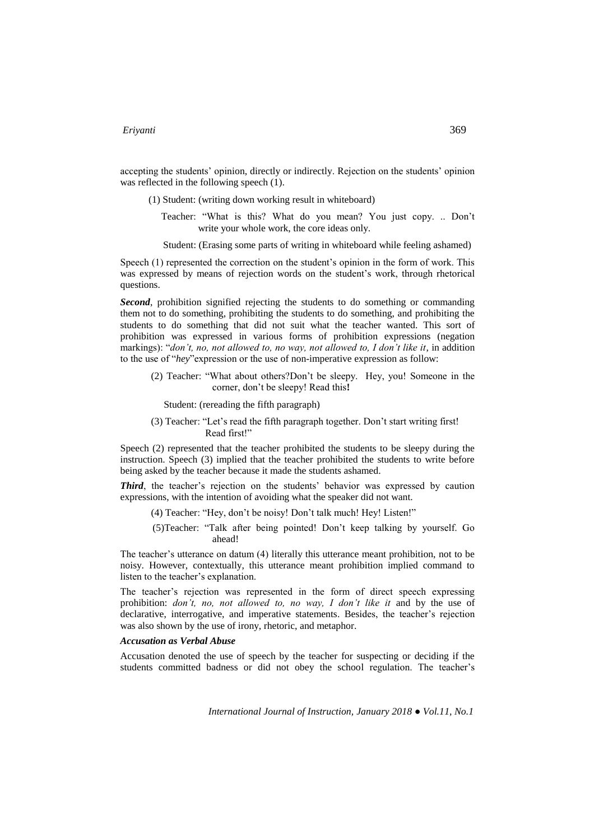accepting the students' opinion, directly or indirectly. Rejection on the students' opinion was reflected in the following speech (1).

- (1) Student: (writing down working result in whiteboard)
	- Teacher: "What is this? What do you mean? You just copy. .. Don't write your whole work, the core ideas only.
	- Student: (Erasing some parts of writing in whiteboard while feeling ashamed)

Speech (1) represented the correction on the student's opinion in the form of work. This was expressed by means of rejection words on the student's work, through rhetorical questions.

*Second*, prohibition signified rejecting the students to do something or commanding them not to do something, prohibiting the students to do something, and prohibiting the students to do something that did not suit what the teacher wanted. This sort of prohibition was expressed in various forms of prohibition expressions (negation markings): "*don't, no, not allowed to, no way, not allowed to, I don't like it, in addition* to the use of "*hey*"expression or the use of non-imperative expression as follow:

(2) Teacher: "What about others?Don't be sleepy. Hey, you! Someone in the corner, don't be sleepy! Read this**!**

Student: (rereading the fifth paragraph)

(3) Teacher: "Let's read the fifth paragraph together. Don't start writing first! Read first!"

Speech (2) represented that the teacher prohibited the students to be sleepy during the instruction. Speech (3) implied that the teacher prohibited the students to write before being asked by the teacher because it made the students ashamed.

*Third*, the teacher's rejection on the students' behavior was expressed by caution expressions, with the intention of avoiding what the speaker did not want.

- (4) Teacher: "Hey, don't be noisy! Don't talk much! Hey! Listen!"
- (5)Teacher: "Talk after being pointed! Don't keep talking by yourself. Go ahead!

The teacher's utterance on datum (4) literally this utterance meant prohibition, not to be noisy. However, contextually, this utterance meant prohibition implied command to listen to the teacher's explanation.

The teacher's rejection was represented in the form of direct speech expressing prohibition: *don't, no, not allowed to, no way, I don't like it* and by the use of declarative, interrogative, and imperative statements. Besides, the teacher's rejection was also shown by the use of irony, rhetoric, and metaphor.

## *Accusation as Verbal Abuse*

Accusation denoted the use of speech by the teacher for suspecting or deciding if the students committed badness or did not obey the school regulation. The teacher's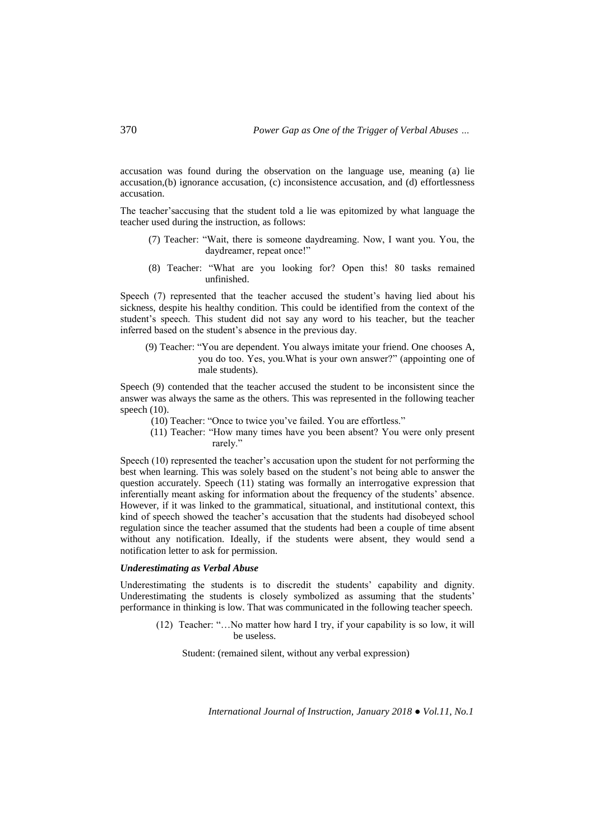accusation was found during the observation on the language use, meaning (a) lie accusation,(b) ignorance accusation, (c) inconsistence accusation, and (d) effortlessness accusation.

The teacher'saccusing that the student told a lie was epitomized by what language the teacher used during the instruction, as follows:

- (7) Teacher: "Wait, there is someone daydreaming. Now, I want you. You, the daydreamer, repeat once!"
- (8) Teacher: "What are you looking for? Open this! 80 tasks remained unfinished.

Speech (7) represented that the teacher accused the student's having lied about his sickness, despite his healthy condition. This could be identified from the context of the student's speech. This student did not say any word to his teacher, but the teacher inferred based on the student's absence in the previous day.

 (9) Teacher: "You are dependent. You always imitate your friend. One chooses A, you do too. Yes, you.What is your own answer?" (appointing one of male students).

Speech (9) contended that the teacher accused the student to be inconsistent since the answer was always the same as the others. This was represented in the following teacher speech (10).

- (10) Teacher: "Once to twice you've failed. You are effortless."
- (11) Teacher: "How many times have you been absent? You were only present rarely."

Speech (10) represented the teacher's accusation upon the student for not performing the best when learning. This was solely based on the student's not being able to answer the question accurately. Speech (11) stating was formally an interrogative expression that inferentially meant asking for information about the frequency of the students' absence. However, if it was linked to the grammatical, situational, and institutional context, this kind of speech showed the teacher's accusation that the students had disobeyed school regulation since the teacher assumed that the students had been a couple of time absent without any notification. Ideally, if the students were absent, they would send a notification letter to ask for permission.

#### *Underestimating as Verbal Abuse*

Underestimating the students is to discredit the students' capability and dignity. Underestimating the students is closely symbolized as assuming that the students' performance in thinking is low. That was communicated in the following teacher speech.

> (12) Teacher: "…No matter how hard I try, if your capability is so low, it will be useless.

Student: (remained silent, without any verbal expression)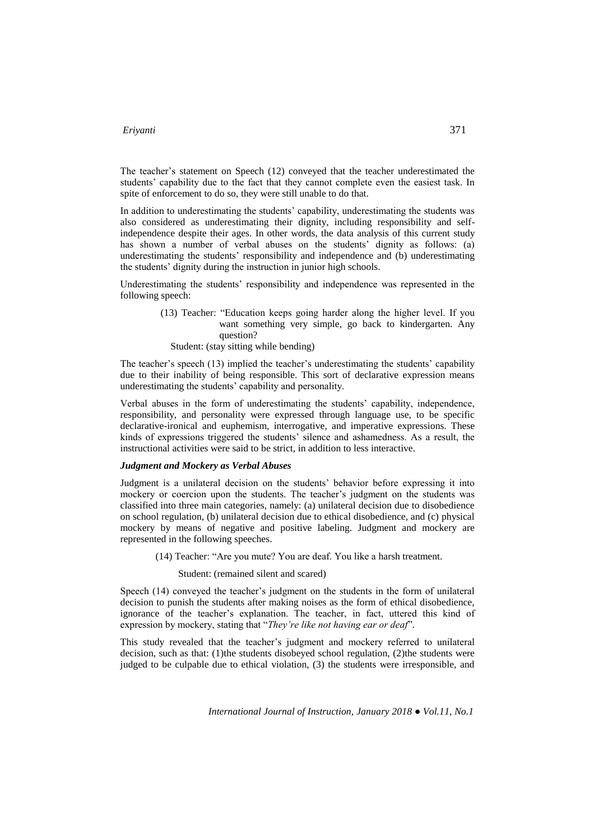The teacher's statement on Speech (12) conveyed that the teacher underestimated the students' capability due to the fact that they cannot complete even the easiest task. In spite of enforcement to do so, they were still unable to do that.

In addition to underestimating the students' capability, underestimating the students was also considered as underestimating their dignity, including responsibility and selfindependence despite their ages. In other words, the data analysis of this current study has shown a number of verbal abuses on the students' dignity as follows: (a) underestimating the students' responsibility and independence and (b) underestimating the students' dignity during the instruction in junior high schools.

Underestimating the students' responsibility and independence was represented in the following speech:

> (13) Teacher: "Education keeps going harder along the higher level. If you want something very simple, go back to kindergarten. Any question? Student: (stay sitting while bending)

The teacher's speech (13) implied the teacher's underestimating the students' capability due to their inability of being responsible. This sort of declarative expression means underestimating the students' capability and personality.

Verbal abuses in the form of underestimating the students' capability, independence, responsibility, and personality were expressed through language use, to be specific declarative-ironical and euphemism, interrogative, and imperative expressions. These kinds of expressions triggered the students' silence and ashamedness. As a result, the instructional activities were said to be strict, in addition to less interactive.

## *Judgment and Mockery as Verbal Abuses*

Judgment is a unilateral decision on the students' behavior before expressing it into mockery or coercion upon the students. The teacher's judgment on the students was classified into three main categories, namely: (a) unilateral decision due to disobedience on school regulation, (b) unilateral decision due to ethical disobedience, and (c) physical mockery by means of negative and positive labeling. Judgment and mockery are represented in the following speeches.

(14) Teacher: "Are you mute? You are deaf. You like a harsh treatment.

Student: (remained silent and scared)

Speech (14) conveyed the teacher's judgment on the students in the form of unilateral decision to punish the students after making noises as the form of ethical disobedience, ignorance of the teacher's explanation. The teacher, in fact, uttered this kind of expression by mockery, stating that "*They're like not having ear or deaf*".

This study revealed that the teacher's judgment and mockery referred to unilateral decision, such as that: (1)the students disobeyed school regulation, (2)the students were judged to be culpable due to ethical violation, (3) the students were irresponsible, and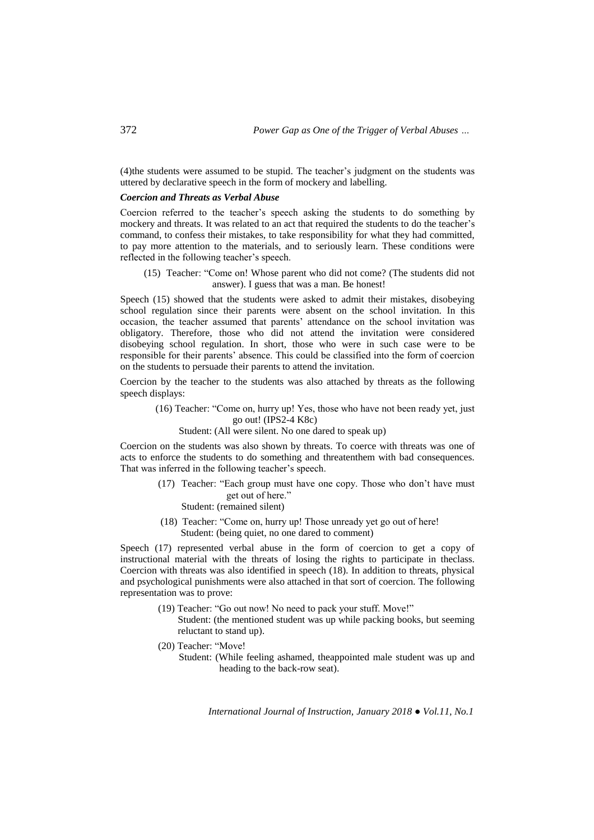(4)the students were assumed to be stupid. The teacher's judgment on the students was uttered by declarative speech in the form of mockery and labelling.

## *Coercion and Threats as Verbal Abuse*

Coercion referred to the teacher's speech asking the students to do something by mockery and threats. It was related to an act that required the students to do the teacher's command, to confess their mistakes, to take responsibility for what they had committed, to pay more attention to the materials, and to seriously learn. These conditions were reflected in the following teacher's speech.

 (15) Teacher: "Come on! Whose parent who did not come? (The students did not answer). I guess that was a man. Be honest!

Speech (15) showed that the students were asked to admit their mistakes, disobeying school regulation since their parents were absent on the school invitation. In this occasion, the teacher assumed that parents' attendance on the school invitation was obligatory. Therefore, those who did not attend the invitation were considered disobeying school regulation. In short, those who were in such case were to be responsible for their parents' absence. This could be classified into the form of coercion on the students to persuade their parents to attend the invitation.

Coercion by the teacher to the students was also attached by threats as the following speech displays:

(16) Teacher: "Come on, hurry up! Yes, those who have not been ready yet, just go out! (IPS2-4 K8c)

Student: (All were silent. No one dared to speak up)

Coercion on the students was also shown by threats. To coerce with threats was one of acts to enforce the students to do something and threatenthem with bad consequences. That was inferred in the following teacher's speech.

> (17) Teacher: "Each group must have one copy. Those who don't have must get out of here."

Student: (remained silent)

 (18) Teacher: "Come on, hurry up! Those unready yet go out of here! Student: (being quiet, no one dared to comment)

Speech (17) represented verbal abuse in the form of coercion to get a copy of instructional material with the threats of losing the rights to participate in theclass. Coercion with threats was also identified in speech (18). In addition to threats, physical and psychological punishments were also attached in that sort of coercion. The following representation was to prove:

- (19) Teacher: "Go out now! No need to pack your stuff. Move!"
	- Student: (the mentioned student was up while packing books, but seeming reluctant to stand up).
- (20) Teacher: "Move!
	- Student: (While feeling ashamed, theappointed male student was up and heading to the back-row seat).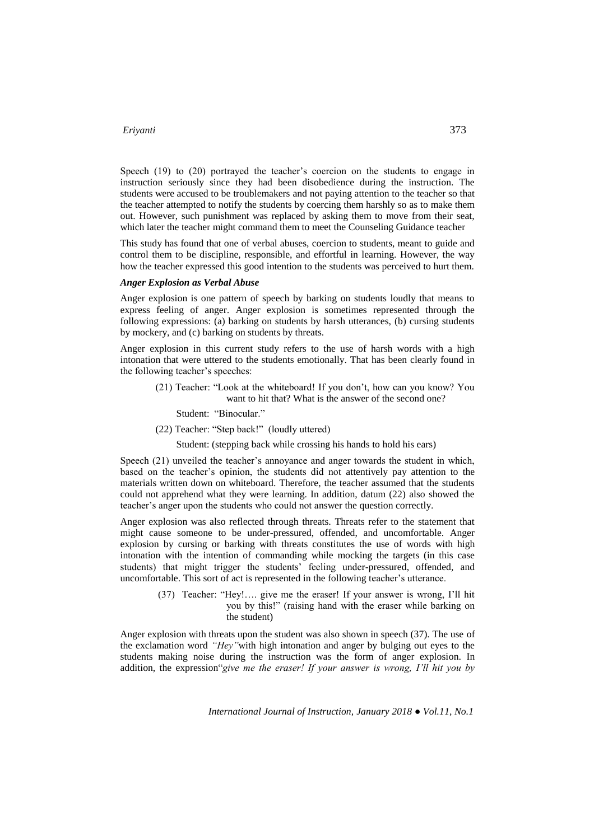Speech (19) to (20) portrayed the teacher's coercion on the students to engage in instruction seriously since they had been disobedience during the instruction. The students were accused to be troublemakers and not paying attention to the teacher so that the teacher attempted to notify the students by coercing them harshly so as to make them out. However, such punishment was replaced by asking them to move from their seat, which later the teacher might command them to meet the Counseling Guidance teacher

This study has found that one of verbal abuses, coercion to students, meant to guide and control them to be discipline, responsible, and effortful in learning. However, the way how the teacher expressed this good intention to the students was perceived to hurt them.

#### *Anger Explosion as Verbal Abuse*

Anger explosion is one pattern of speech by barking on students loudly that means to express feeling of anger. Anger explosion is sometimes represented through the following expressions: (a) barking on students by harsh utterances, (b) cursing students by mockery, and (c) barking on students by threats.

Anger explosion in this current study refers to the use of harsh words with a high intonation that were uttered to the students emotionally. That has been clearly found in the following teacher's speeches:

(21) Teacher: "Look at the whiteboard! If you don't, how can you know? You want to hit that? What is the answer of the second one?

Student: "Binocular."

(22) Teacher: "Step back!" (loudly uttered)

Student: (stepping back while crossing his hands to hold his ears)

Speech (21) unveiled the teacher's annoyance and anger towards the student in which, based on the teacher's opinion, the students did not attentively pay attention to the materials written down on whiteboard. Therefore, the teacher assumed that the students could not apprehend what they were learning. In addition, datum (22) also showed the teacher's anger upon the students who could not answer the question correctly.

Anger explosion was also reflected through threats. Threats refer to the statement that might cause someone to be under-pressured, offended, and uncomfortable. Anger explosion by cursing or barking with threats constitutes the use of words with high intonation with the intention of commanding while mocking the targets (in this case students) that might trigger the students' feeling under-pressured, offended, and uncomfortable. This sort of act is represented in the following teacher's utterance.

> (37) Teacher: "Hey!…. give me the eraser! If your answer is wrong, I'll hit you by this!" (raising hand with the eraser while barking on the student)

Anger explosion with threats upon the student was also shown in speech (37). The use of the exclamation word *"Hey"*with high intonation and anger by bulging out eyes to the students making noise during the instruction was the form of anger explosion. In addition, the expression"*give me the eraser! If your answer is wrong, I'll hit you by*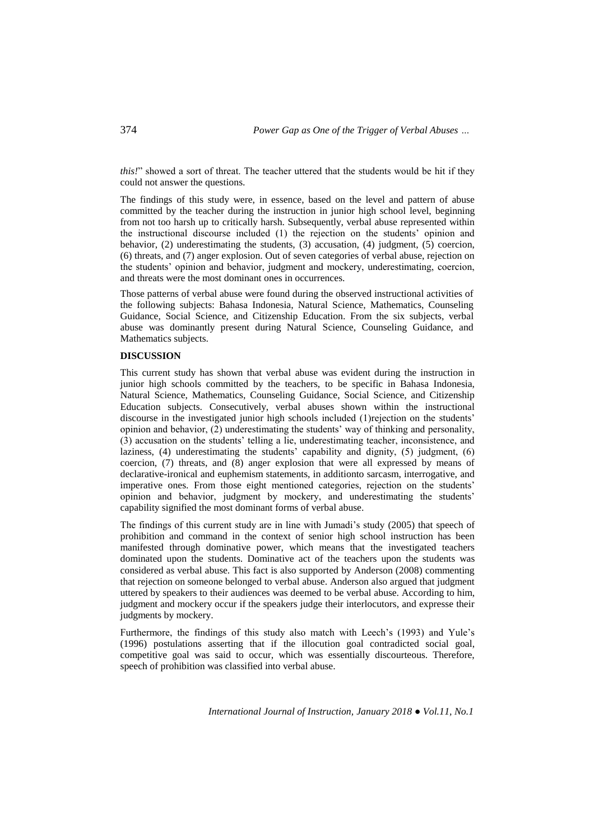*this!*" showed a sort of threat. The teacher uttered that the students would be hit if they could not answer the questions.

The findings of this study were, in essence, based on the level and pattern of abuse committed by the teacher during the instruction in junior high school level, beginning from not too harsh up to critically harsh. Subsequently, verbal abuse represented within the instructional discourse included (1) the rejection on the students' opinion and behavior, (2) underestimating the students, (3) accusation, (4) judgment, (5) coercion, (6) threats, and (7) anger explosion. Out of seven categories of verbal abuse, rejection on the students' opinion and behavior, judgment and mockery, underestimating, coercion, and threats were the most dominant ones in occurrences.

Those patterns of verbal abuse were found during the observed instructional activities of the following subjects: Bahasa Indonesia, Natural Science, Mathematics, Counseling Guidance, Social Science, and Citizenship Education. From the six subjects, verbal abuse was dominantly present during Natural Science, Counseling Guidance, and Mathematics subjects.

## **DISCUSSION**

This current study has shown that verbal abuse was evident during the instruction in junior high schools committed by the teachers, to be specific in Bahasa Indonesia, Natural Science, Mathematics, Counseling Guidance, Social Science, and Citizenship Education subjects. Consecutively, verbal abuses shown within the instructional discourse in the investigated junior high schools included (1)rejection on the students' opinion and behavior, (2) underestimating the students' way of thinking and personality, (3) accusation on the students' telling a lie, underestimating teacher, inconsistence, and laziness, (4) underestimating the students' capability and dignity, (5) judgment, (6) coercion, (7) threats, and (8) anger explosion that were all expressed by means of declarative-ironical and euphemism statements, in additionto sarcasm, interrogative, and imperative ones. From those eight mentioned categories, rejection on the students' opinion and behavior, judgment by mockery, and underestimating the students' capability signified the most dominant forms of verbal abuse.

The findings of this current study are in line with Jumadi's study (2005) that speech of prohibition and command in the context of senior high school instruction has been manifested through dominative power, which means that the investigated teachers dominated upon the students. Dominative act of the teachers upon the students was considered as verbal abuse. This fact is also supported by Anderson (2008) commenting that rejection on someone belonged to verbal abuse. Anderson also argued that judgment uttered by speakers to their audiences was deemed to be verbal abuse. According to him, judgment and mockery occur if the speakers judge their interlocutors, and expresse their judgments by mockery.

Furthermore, the findings of this study also match with Leech's (1993) and Yule's (1996) postulations asserting that if the illocution goal contradicted social goal, competitive goal was said to occur, which was essentially discourteous. Therefore, speech of prohibition was classified into verbal abuse.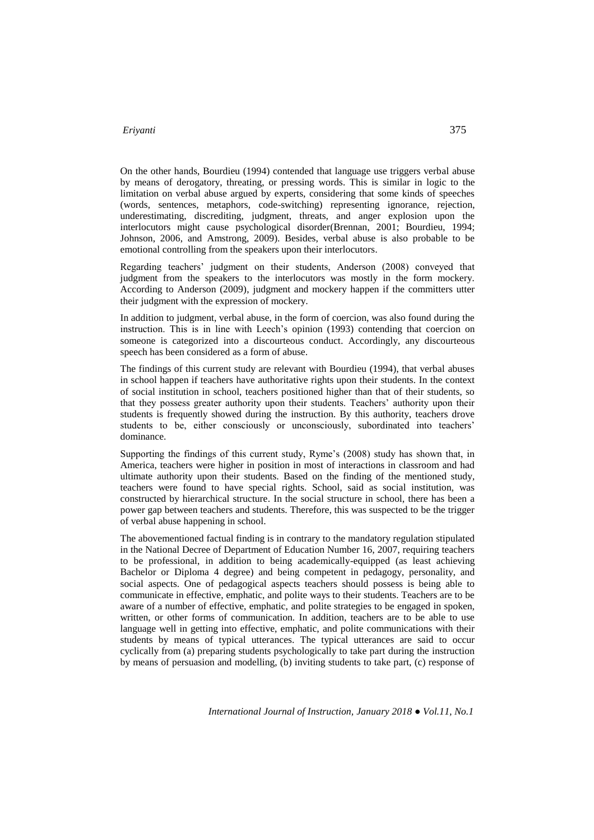On the other hands, Bourdieu (1994) contended that language use triggers verbal abuse by means of derogatory, threating, or pressing words. This is similar in logic to the limitation on verbal abuse argued by experts, considering that some kinds of speeches (words, sentences, metaphors, code-switching) representing ignorance, rejection, underestimating, discrediting, judgment, threats, and anger explosion upon the interlocutors might cause psychological disorder(Brennan, 2001; Bourdieu, 1994; Johnson, 2006, and Amstrong, 2009). Besides, verbal abuse is also probable to be emotional controlling from the speakers upon their interlocutors.

Regarding teachers' judgment on their students, Anderson (2008) conveyed that judgment from the speakers to the interlocutors was mostly in the form mockery. According to Anderson (2009), judgment and mockery happen if the committers utter their judgment with the expression of mockery.

In addition to judgment, verbal abuse, in the form of coercion, was also found during the instruction. This is in line with Leech's opinion (1993) contending that coercion on someone is categorized into a discourteous conduct. Accordingly, any discourteous speech has been considered as a form of abuse.

The findings of this current study are relevant with Bourdieu (1994), that verbal abuses in school happen if teachers have authoritative rights upon their students. In the context of social institution in school, teachers positioned higher than that of their students, so that they possess greater authority upon their students. Teachers' authority upon their students is frequently showed during the instruction. By this authority, teachers drove students to be, either consciously or unconsciously, subordinated into teachers' dominance.

Supporting the findings of this current study, Ryme's (2008) study has shown that, in America, teachers were higher in position in most of interactions in classroom and had ultimate authority upon their students. Based on the finding of the mentioned study, teachers were found to have special rights. School, said as social institution, was constructed by hierarchical structure. In the social structure in school, there has been a power gap between teachers and students. Therefore, this was suspected to be the trigger of verbal abuse happening in school.

The abovementioned factual finding is in contrary to the mandatory regulation stipulated in the National Decree of Department of Education Number 16, 2007, requiring teachers to be professional, in addition to being academically-equipped (as least achieving Bachelor or Diploma 4 degree) and being competent in pedagogy, personality, and social aspects. One of pedagogical aspects teachers should possess is being able to communicate in effective, emphatic, and polite ways to their students. Teachers are to be aware of a number of effective, emphatic, and polite strategies to be engaged in spoken, written, or other forms of communication. In addition, teachers are to be able to use language well in getting into effective, emphatic, and polite communications with their students by means of typical utterances. The typical utterances are said to occur cyclically from (a) preparing students psychologically to take part during the instruction by means of persuasion and modelling, (b) inviting students to take part, (c) response of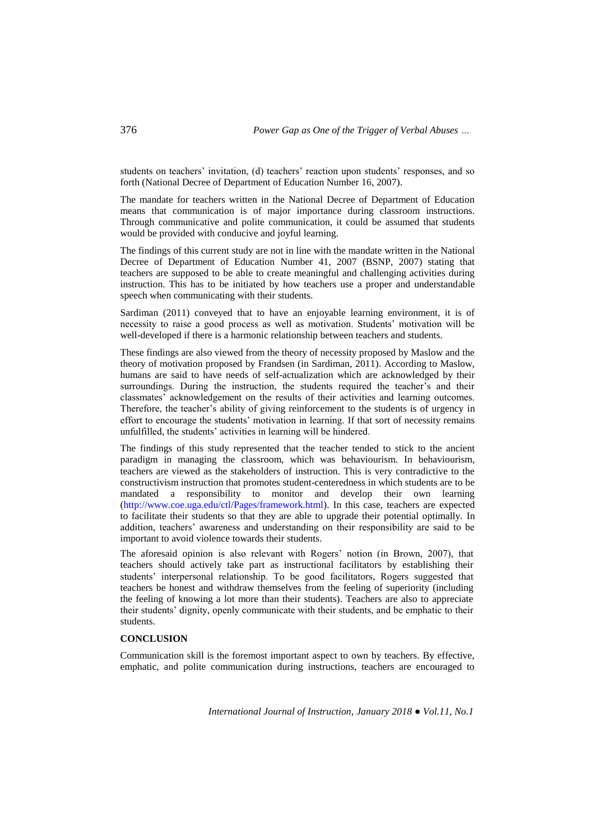students on teachers' invitation, (d) teachers' reaction upon students' responses, and so forth (National Decree of Department of Education Number 16, 2007).

The mandate for teachers written in the National Decree of Department of Education means that communication is of major importance during classroom instructions. Through communicative and polite communication, it could be assumed that students would be provided with conducive and joyful learning.

The findings of this current study are not in line with the mandate written in the National Decree of Department of Education Number 41, 2007 (BSNP, 2007) stating that teachers are supposed to be able to create meaningful and challenging activities during instruction. This has to be initiated by how teachers use a proper and understandable speech when communicating with their students.

Sardiman (2011) conveyed that to have an enjoyable learning environment, it is of necessity to raise a good process as well as motivation. Students' motivation will be well-developed if there is a harmonic relationship between teachers and students.

These findings are also viewed from the theory of necessity proposed by Maslow and the theory of motivation proposed by Frandsen (in Sardiman, 2011). According to Maslow, humans are said to have needs of self-actualization which are acknowledged by their surroundings. During the instruction, the students required the teacher's and their classmates' acknowledgement on the results of their activities and learning outcomes. Therefore, the teacher's ability of giving reinforcement to the students is of urgency in effort to encourage the students' motivation in learning. If that sort of necessity remains unfulfilled, the students' activities in learning will be hindered.

The findings of this study represented that the teacher tended to stick to the ancient paradigm in managing the classroom, which was behaviourism. In behaviourism, teachers are viewed as the stakeholders of instruction. This is very contradictive to the constructivism instruction that promotes student-centeredness in which students are to be mandated a responsibility to monitor and develop their own learning [\(http://www.coe.uga.edu/ctl/Pages/framework.html\)](http://www.coe.uga.edu/ctl/Pages/framework.html). In this case, teachers are expected to facilitate their students so that they are able to upgrade their potential optimally. In addition, teachers' awareness and understanding on their responsibility are said to be important to avoid violence towards their students.

The aforesaid opinion is also relevant with Rogers' notion (in Brown, 2007), that teachers should actively take part as instructional facilitators by establishing their students' interpersonal relationship. To be good facilitators, Rogers suggested that teachers be honest and withdraw themselves from the feeling of superiority (including the feeling of knowing a lot more than their students). Teachers are also to appreciate their students' dignity, openly communicate with their students, and be emphatic to their students.

## **CONCLUSION**

Communication skill is the foremost important aspect to own by teachers. By effective, emphatic, and polite communication during instructions, teachers are encouraged to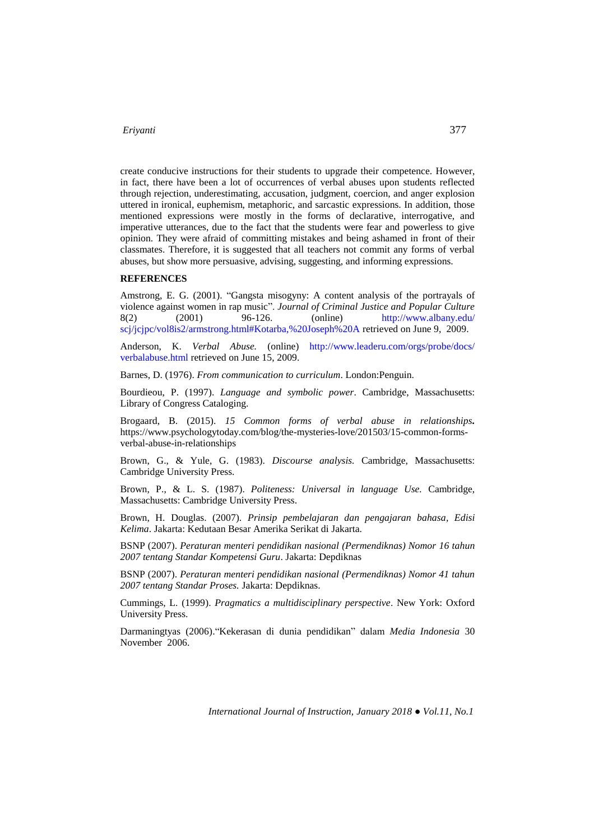create conducive instructions for their students to upgrade their competence. However, in fact, there have been a lot of occurrences of verbal abuses upon students reflected through rejection, underestimating, accusation, judgment, coercion, and anger explosion uttered in ironical, euphemism, metaphoric, and sarcastic expressions. In addition, those mentioned expressions were mostly in the forms of declarative, interrogative, and imperative utterances, due to the fact that the students were fear and powerless to give opinion. They were afraid of committing mistakes and being ashamed in front of their classmates. Therefore, it is suggested that all teachers not commit any forms of verbal abuses, but show more persuasive, advising, suggesting, and informing expressions.

## **REFERENCES**

Amstrong, E. G. (2001). "Gangsta misogyny: A content analysis of the portrayals of violence against women in rap music". *Journal of Criminal Justice and Popular Culture*  8(2) (2001) 96-126. (online) [http://www.albany.edu/](http://www.albany.edu/%20scj/jcjpc/vol8is2/armstrong.html#Kotarba,%20Joseph%20A)  [scj/jcjpc/vol8is2/armstrong.html#Kotarba,%20Joseph%20A](http://www.albany.edu/%20scj/jcjpc/vol8is2/armstrong.html#Kotarba,%20Joseph%20A) retrieved on June 9, 2009.

Anderson, K. *Verbal Abuse.* (online) [http://www.leaderu.com/orgs/probe/docs/](http://www.leaderu.com/orgs/probe/docs/%20%20verbalabuse.html)  [verbalabuse.html](http://www.leaderu.com/orgs/probe/docs/%20%20verbalabuse.html) retrieved on June 15, 2009.

Barnes, D. (1976). *From communication to curriculum*. London:Penguin.

Bourdieou, P. (1997). *Language and symbolic power*. Cambridge, Massachusetts: Library of Congress Cataloging.

Brogaard, B. (2015). *15 Common forms of verbal abuse in relationships.* https://www.psychologytoday.com/blog/the-mysteries-love/201503/15-common-formsverbal-abuse-in-relationships

Brown, G., & Yule, G. (1983). *Discourse analysis.* Cambridge, Massachusetts: Cambridge University Press.

Brown, P., & L. S. (1987). *Politeness: Universal in language Use.* Cambridge, Massachusetts: Cambridge University Press.

Brown, H. Douglas. (2007). *Prinsip pembelajaran dan pengajaran bahasa, Edisi Kelima*. Jakarta: Kedutaan Besar Amerika Serikat di Jakarta.

BSNP (2007). *Peraturan menteri pendidikan nasional (Permendiknas) Nomor 16 tahun 2007 tentang Standar Kompetensi Guru*. Jakarta: Depdiknas

BSNP (2007). *Peraturan menteri pendidikan nasional (Permendiknas) Nomor 41 tahun 2007 tentang Standar Proses.* Jakarta: Depdiknas.

Cummings, L. (1999). *Pragmatics a multidisciplinary perspective*. New York: Oxford University Press.

Darmaningtyas (2006)."Kekerasan di dunia pendidikan" dalam *Media Indonesia* 30 November 2006.